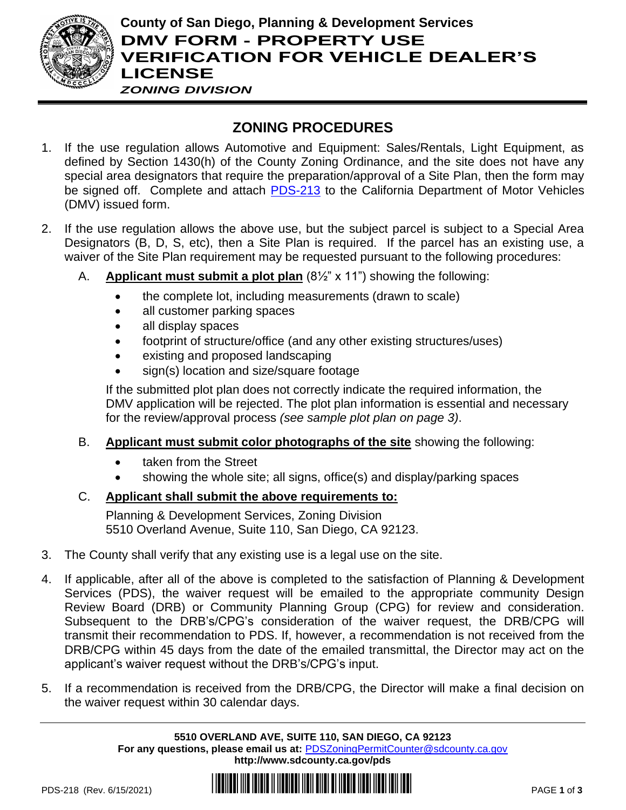

## **County of San Diego, Planning & Development Services DMV FORM - PROPERTY USE VERIFICATION FOR VEHICLE DEALER'S LICENSE** *ZONING DIVISION*

# **ZONING PROCEDURES**

- 1. If the use regulation allows Automotive and Equipment: Sales/Rentals, Light Equipment, as defined by Section 1430(h) of the County Zoning Ordinance, and the site does not have any special area designators that require the preparation/approval of a Site Plan, then the form may be signed off. Complete and attach [PDS-213](http://www.sdcounty.ca.gov/pds/zoning/formfields/PDS-PLN-213.pdf) to the California Department of Motor Vehicles (DMV) issued form.
- 2. If the use regulation allows the above use, but the subject parcel is subject to a Special Area Designators (B, D, S, etc), then a Site Plan is required. If the parcel has an existing use, a waiver of the Site Plan requirement may be requested pursuant to the following procedures:
	- A. **Applicant must submit a plot plan** (8½" x 11") showing the following:
		- the complete lot, including measurements (drawn to scale)
		- all customer parking spaces
		- all display spaces
		- footprint of structure/office (and any other existing structures/uses)
		- existing and proposed landscaping
		- sign(s) location and size/square footage

If the submitted plot plan does not correctly indicate the required information, the DMV application will be rejected. The plot plan information is essential and necessary for the review/approval process *(see sample plot plan on page 3)*.

- B. **Applicant must submit color photographs of the site** showing the following:
	- taken from the Street
	- showing the whole site; all signs, office(s) and display/parking spaces

## C. **Applicant shall submit the above requirements to:**

Planning & Development Services, Zoning Division 5510 Overland Avenue, Suite 110, San Diego, CA 92123.

- 3. The County shall verify that any existing use is a legal use on the site.
- 4. If applicable, after all of the above is completed to the satisfaction of Planning & Development Services (PDS), the waiver request will be emailed to the appropriate community Design Review Board (DRB) or Community Planning Group (CPG) for review and consideration. Subsequent to the DRB's/CPG's consideration of the waiver request, the DRB/CPG will transmit their recommendation to PDS. If, however, a recommendation is not received from the DRB/CPG within 45 days from the date of the emailed transmittal, the Director may act on the applicant's waiver request without the DRB's/CPG's input.
- 5. If a recommendation is received from the DRB/CPG, the Director will make a final decision on the waiver request within 30 calendar days.

**5510 OVERLAND AVE, SUITE 110, SAN DIEGO, CA 92123 For any questions, please email us at:** [PDSZoningPermitCounter@sdcounty.ca.gov](mailto:PDSZoningPermitCounter@sdcounty.ca.gov) **<http://www.sdcounty.ca.gov/pds>**

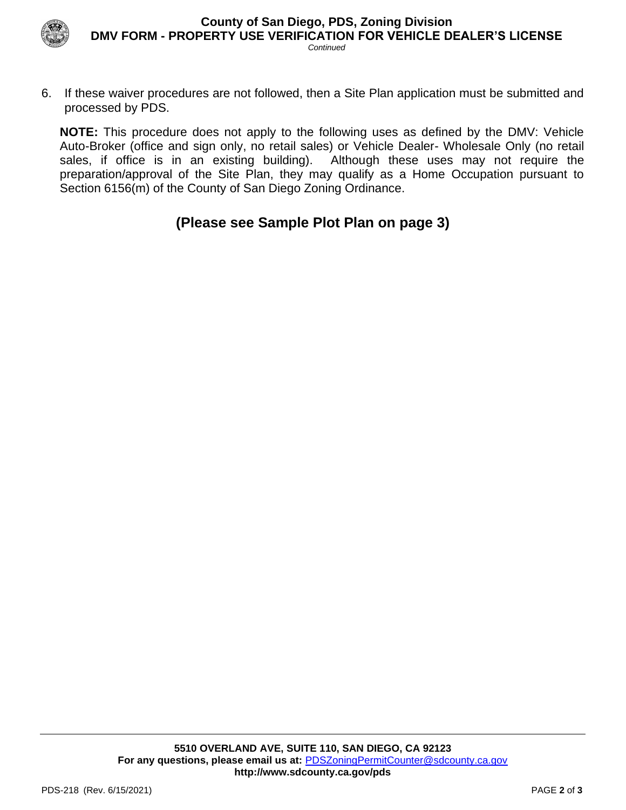

6. If these waiver procedures are not followed, then a Site Plan application must be submitted and processed by PDS.

**NOTE:** This procedure does not apply to the following uses as defined by the DMV: Vehicle Auto-Broker (office and sign only, no retail sales) or Vehicle Dealer- Wholesale Only (no retail sales, if office is in an existing building). Although these uses may not require the preparation/approval of the Site Plan, they may qualify as a Home Occupation pursuant to Section 6156(m) of the County of San Diego Zoning Ordinance.

**(Please see Sample Plot Plan on page 3)**